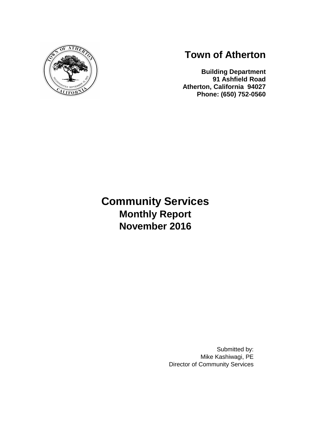

# **Town of Atherton**

**Building Department 91 Ashfield Road Atherton, California 94027 Phone: (650) 752-0560**

# **Community Services Monthly Report November 2016**

Submitted by: Mike Kashiwagi, PE Director of Community Services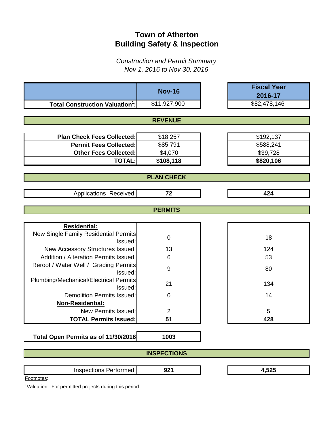# **Town of Atherton Building Safety & Inspection**

*Construction and Permit Summary Nov 1, 2016 to Nov 30, 2016*

|                                                   | <b>Nov-16</b>      | <b>Fiscal Year</b> |
|---------------------------------------------------|--------------------|--------------------|
|                                                   |                    | 2016-17            |
| <b>Total Construction Valuation<sup>1</sup>:</b>  | \$11,927,900       | \$82,478,146       |
|                                                   |                    |                    |
|                                                   | <b>REVENUE</b>     |                    |
|                                                   |                    |                    |
| <b>Plan Check Fees Collected:</b>                 | \$18,257           | \$192,137          |
| <b>Permit Fees Collected:</b>                     | \$85,791           | \$588,241          |
| <b>Other Fees Collected:</b>                      | \$4,070            | \$39,728           |
| <b>TOTAL:</b>                                     | \$108,118          | \$820,106          |
|                                                   |                    |                    |
|                                                   | <b>PLAN CHECK</b>  |                    |
| Applications Received:                            | 72                 | 424                |
|                                                   | <b>PERMITS</b>     |                    |
|                                                   |                    |                    |
| <b>Residential:</b>                               |                    |                    |
| New Single Family Residential Permits             |                    |                    |
| Issued:                                           | $\mathbf 0$        | 18                 |
| New Accessory Structures Issued:                  | 13                 | 124                |
| <b>Addition / Alteration Permits Issued:</b>      | 6                  | 53                 |
| Reroof / Water Well / Grading Permits<br>Issued:  | 9                  | 80                 |
| Plumbing/Mechanical/Electrical Permits<br>Issued: | 21                 | 134                |
| <b>Demolition Permits Issued:</b>                 | $\mathbf 0$        | 14                 |
| Non-Residential:                                  |                    |                    |
| <b>New Permits Issued:</b>                        | $\overline{2}$     | 5                  |
| <b>TOTAL Permits Issued:</b>                      | 51                 | 428                |
|                                                   |                    |                    |
| Total Open Permits as of 11/30/2016               | 1003               |                    |
|                                                   | <b>INSPECTIONS</b> |                    |
| Inspections Performed:                            | 921                | 4,525              |
| Footnotes:                                        |                    |                    |

<sup>1</sup>Valuation: For permitted projects during this period.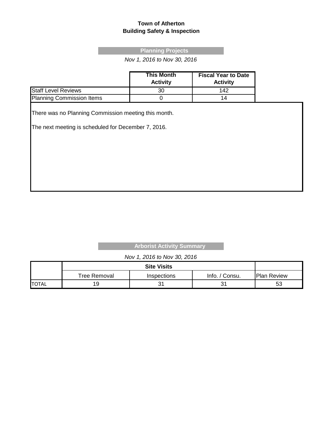#### **Town of Atherton Building Safety & Inspection**

#### **Planning Projects**

*Nov 1, 2016 to Nov 30, 2016*

|                            | <b>This Month</b><br><b>Activity</b> | <b>Fiscal Year to Date</b><br><b>Activity</b> |
|----------------------------|--------------------------------------|-----------------------------------------------|
| <b>Staff Level Reviews</b> | 30                                   | 142                                           |
| Planning Commission Items  |                                      | 14                                            |

There was no Planning Commission meeting this month.

The next meeting is scheduled for December 7, 2016.

#### **Arborist Activity Summary**

#### *Nov 1, 2016 to Nov 30, 2016*

|              | Tree Removal | Inspections | Info. / Consu. | <b>Plan Review</b> |
|--------------|--------------|-------------|----------------|--------------------|
| <b>TOTAL</b> | 19           | ັ           | ົ<br>ັ         | 53                 |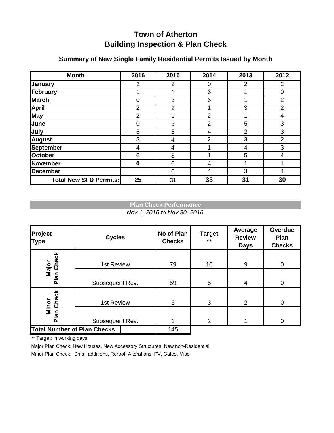# **Town of Atherton Building Inspection & Plan Check**

| <b>Month</b>                  | 2016           | 2015     | 2014           | 2013 | 2012           |
|-------------------------------|----------------|----------|----------------|------|----------------|
| January                       | 2              | 2        | 0              | 2    | $\overline{2}$ |
| February                      |                |          | 6              |      | $\overline{0}$ |
| <b>March</b>                  | $\Omega$       | 3        | 6              |      | $\overline{2}$ |
| <b>April</b>                  | $\overline{2}$ | 2        |                | 3    | $\overline{2}$ |
| May                           | 2              |          | $\overline{2}$ |      | 4              |
| June                          | $\Omega$       | 3        | $\overline{2}$ | 5    | 3              |
| July                          | 5              | 8        | 4              | 2    | 3              |
| <b>August</b>                 | 3              | 4        | 2              | 3    | $\overline{2}$ |
| September                     | 4              | 4        |                | 4    | 3              |
| <b>October</b>                | 6              | 3        |                | 5    | 4              |
| <b>November</b>               | $\bf{0}$       | $\Omega$ | 4              |      |                |
| <b>December</b>               |                | $\Omega$ | 4              | 3    | 4              |
| <b>Total New SFD Permits:</b> | 25             | 31       | 33             | 31   | 30             |

### **Summary of New Single Family Residential Permits Issued by Month**

### **Plan Check Performance**

*Nov 1, 2016 to Nov 30, 2016*

| Project<br><b>Type</b>             | <b>Cycles</b>   | No of Plan<br><b>Checks</b> | <b>Target</b><br>$***$ | Average<br><b>Review</b><br><b>Days</b> | Overdue<br>Plan<br><b>Checks</b> |
|------------------------------------|-----------------|-----------------------------|------------------------|-----------------------------------------|----------------------------------|
| Major<br>Plan Check                | 1st Review      | 79                          | 10                     | 9                                       | 0                                |
|                                    | Subsequent Rev. | 59                          | $5\phantom{.0}$        | 4                                       | $\overline{0}$                   |
| Minor<br>Plan Check                | 1st Review      | 6                           | 3                      | $\overline{2}$                          | $\overline{0}$                   |
|                                    | Subsequent Rev. |                             | $\overline{2}$         |                                         | $\Omega$                         |
| <b>Total Number of Plan Checks</b> |                 | 145                         |                        |                                         |                                  |

\*\* Target: in working days

Major Plan Check: New Houses, New Accessory Structures, New non-Residential

Minor Plan Check: Small additions, Reroof, Alterations, PV, Gates, Misc.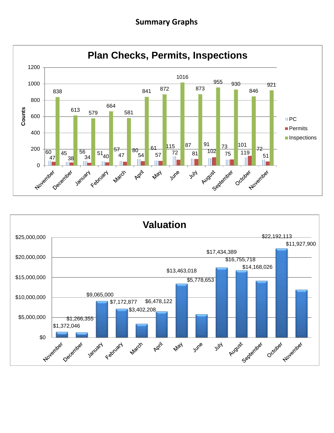## **Summary Graphs**